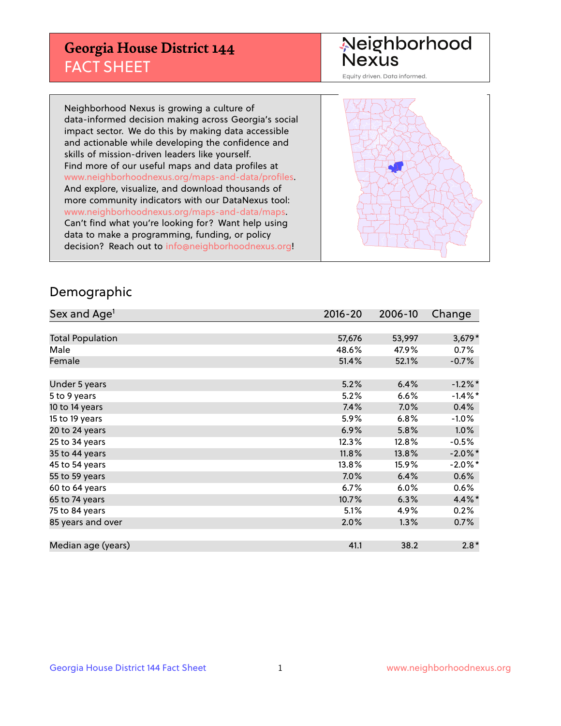## **Georgia House District 144** FACT SHEET

# Neighborhood<br>Nexus

Equity driven. Data informed.

Neighborhood Nexus is growing a culture of data-informed decision making across Georgia's social impact sector. We do this by making data accessible and actionable while developing the confidence and skills of mission-driven leaders like yourself. Find more of our useful maps and data profiles at www.neighborhoodnexus.org/maps-and-data/profiles. And explore, visualize, and download thousands of more community indicators with our DataNexus tool: www.neighborhoodnexus.org/maps-and-data/maps. Can't find what you're looking for? Want help using data to make a programming, funding, or policy decision? Reach out to [info@neighborhoodnexus.org!](mailto:info@neighborhoodnexus.org)



### Demographic

| Sex and Age <sup>1</sup> | $2016 - 20$ | 2006-10 | Change     |
|--------------------------|-------------|---------|------------|
|                          |             |         |            |
| <b>Total Population</b>  | 57,676      | 53,997  | $3,679*$   |
| Male                     | 48.6%       | 47.9%   | 0.7%       |
| Female                   | 51.4%       | 52.1%   | $-0.7%$    |
|                          |             |         |            |
| Under 5 years            | 5.2%        | 6.4%    | $-1.2\%$ * |
| 5 to 9 years             | $5.2\%$     | 6.6%    | $-1.4\%$ * |
| 10 to 14 years           | 7.4%        | 7.0%    | 0.4%       |
| 15 to 19 years           | 5.9%        | 6.8%    | $-1.0%$    |
| 20 to 24 years           | 6.9%        | 5.8%    | 1.0%       |
| 25 to 34 years           | 12.3%       | 12.8%   | $-0.5%$    |
| 35 to 44 years           | 11.8%       | 13.8%   | $-2.0\%$ * |
| 45 to 54 years           | 13.8%       | 15.9%   | $-2.0\%$ * |
| 55 to 59 years           | 7.0%        | 6.4%    | 0.6%       |
| 60 to 64 years           | $6.7\%$     | 6.0%    | $0.6\%$    |
| 65 to 74 years           | 10.7%       | 6.3%    | 4.4%*      |
| 75 to 84 years           | 5.1%        | 4.9%    | 0.2%       |
| 85 years and over        | 2.0%        | 1.3%    | 0.7%       |
|                          |             |         |            |
| Median age (years)       | 41.1        | 38.2    | $2.8*$     |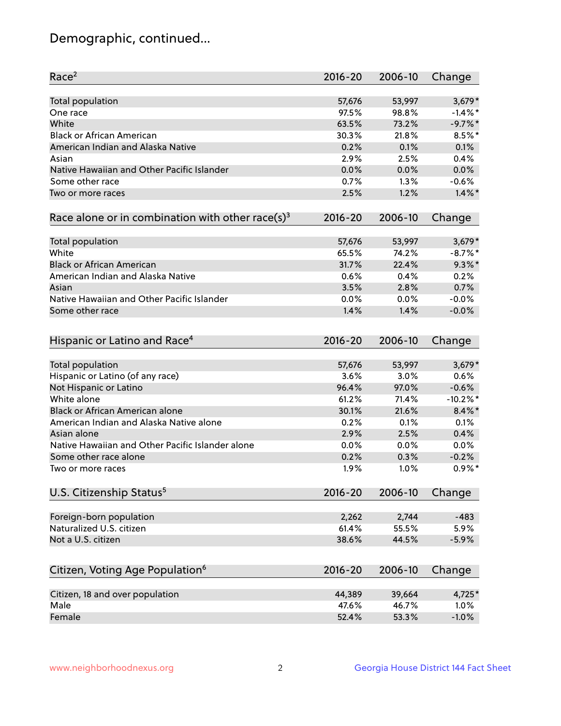## Demographic, continued...

| Race <sup>2</sup>                                            | $2016 - 20$ | 2006-10 | Change     |
|--------------------------------------------------------------|-------------|---------|------------|
| <b>Total population</b>                                      | 57,676      | 53,997  | $3,679*$   |
| One race                                                     | 97.5%       | 98.8%   | $-1.4\%$ * |
| White                                                        | 63.5%       | 73.2%   | $-9.7%$ *  |
| <b>Black or African American</b>                             | 30.3%       | 21.8%   | $8.5%$ *   |
| American Indian and Alaska Native                            | 0.2%        | 0.1%    | 0.1%       |
| Asian                                                        | 2.9%        | 2.5%    | 0.4%       |
| Native Hawaiian and Other Pacific Islander                   | 0.0%        | 0.0%    | 0.0%       |
| Some other race                                              | 0.7%        | 1.3%    | $-0.6%$    |
| Two or more races                                            | 2.5%        | 1.2%    | $1.4\%$ *  |
|                                                              |             |         |            |
| Race alone or in combination with other race(s) <sup>3</sup> | $2016 - 20$ | 2006-10 | Change     |
| Total population                                             | 57,676      | 53,997  | $3,679*$   |
| White                                                        | 65.5%       | 74.2%   | $-8.7\%$ * |
| <b>Black or African American</b>                             | 31.7%       | 22.4%   | $9.3\%$ *  |
| American Indian and Alaska Native                            | 0.6%        | 0.4%    | 0.2%       |
| Asian                                                        | 3.5%        | 2.8%    | 0.7%       |
| Native Hawaiian and Other Pacific Islander                   | 0.0%        | 0.0%    | $-0.0%$    |
| Some other race                                              | 1.4%        | 1.4%    | $-0.0%$    |
|                                                              |             |         |            |
| Hispanic or Latino and Race <sup>4</sup>                     | $2016 - 20$ | 2006-10 | Change     |
| Total population                                             | 57,676      | 53,997  | $3,679*$   |
| Hispanic or Latino (of any race)                             | 3.6%        | 3.0%    | 0.6%       |
| Not Hispanic or Latino                                       | 96.4%       | 97.0%   | $-0.6%$    |
| White alone                                                  | 61.2%       | 71.4%   | $-10.2%$ * |
| <b>Black or African American alone</b>                       | 30.1%       | 21.6%   | $8.4\%$ *  |
| American Indian and Alaska Native alone                      | 0.2%        | 0.1%    | 0.1%       |
| Asian alone                                                  | 2.9%        | 2.5%    | 0.4%       |
| Native Hawaiian and Other Pacific Islander alone             | 0.0%        | 0.0%    | 0.0%       |
| Some other race alone                                        | 0.2%        | 0.3%    | $-0.2%$    |
| Two or more races                                            | 1.9%        | 1.0%    | $0.9\%$ *  |
|                                                              |             |         |            |
| U.S. Citizenship Status <sup>5</sup>                         | $2016 - 20$ | 2006-10 | Change     |
| Foreign-born population                                      | 2,262       | 2,744   | $-483$     |
| Naturalized U.S. citizen                                     | 61.4%       | 55.5%   | 5.9%       |
| Not a U.S. citizen                                           | 38.6%       | 44.5%   | $-5.9%$    |
|                                                              |             |         |            |
| Citizen, Voting Age Population <sup>6</sup>                  | $2016 - 20$ | 2006-10 | Change     |
| Citizen, 18 and over population                              | 44,389      | 39,664  | 4,725*     |
| Male                                                         | 47.6%       | 46.7%   | 1.0%       |
| Female                                                       | 52.4%       | 53.3%   | $-1.0%$    |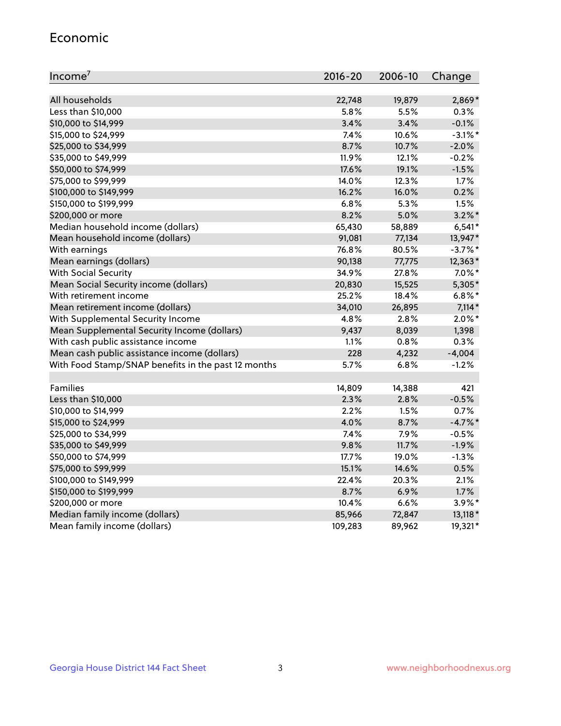#### Economic

| Income <sup>7</sup>                                 | $2016 - 20$ | 2006-10 | Change     |
|-----------------------------------------------------|-------------|---------|------------|
|                                                     |             |         |            |
| All households                                      | 22,748      | 19,879  | $2,869*$   |
| Less than \$10,000                                  | 5.8%        | 5.5%    | 0.3%       |
| \$10,000 to \$14,999                                | 3.4%        | 3.4%    | $-0.1%$    |
| \$15,000 to \$24,999                                | 7.4%        | 10.6%   | $-3.1\%$ * |
| \$25,000 to \$34,999                                | 8.7%        | 10.7%   | $-2.0%$    |
| \$35,000 to \$49,999                                | 11.9%       | 12.1%   | $-0.2%$    |
| \$50,000 to \$74,999                                | 17.6%       | 19.1%   | $-1.5%$    |
| \$75,000 to \$99,999                                | 14.0%       | 12.3%   | 1.7%       |
| \$100,000 to \$149,999                              | 16.2%       | 16.0%   | 0.2%       |
| \$150,000 to \$199,999                              | 6.8%        | 5.3%    | 1.5%       |
| \$200,000 or more                                   | 8.2%        | 5.0%    | $3.2\%$ *  |
| Median household income (dollars)                   | 65,430      | 58,889  | $6,541*$   |
| Mean household income (dollars)                     | 91,081      | 77,134  | 13,947*    |
| With earnings                                       | 76.8%       | 80.5%   | $-3.7\%$ * |
| Mean earnings (dollars)                             | 90,138      | 77,775  | 12,363*    |
| <b>With Social Security</b>                         | 34.9%       | 27.8%   | $7.0\%$ *  |
| Mean Social Security income (dollars)               | 20,830      | 15,525  | 5,305*     |
| With retirement income                              | 25.2%       | 18.4%   | $6.8\%$ *  |
| Mean retirement income (dollars)                    | 34,010      | 26,895  | $7,114*$   |
| With Supplemental Security Income                   | 4.8%        | 2.8%    | $2.0\%$ *  |
| Mean Supplemental Security Income (dollars)         | 9,437       | 8,039   | 1,398      |
| With cash public assistance income                  | 1.1%        | 0.8%    | 0.3%       |
| Mean cash public assistance income (dollars)        | 228         | 4,232   | $-4,004$   |
| With Food Stamp/SNAP benefits in the past 12 months | 5.7%        | 6.8%    | $-1.2%$    |
|                                                     |             |         |            |
| Families                                            | 14,809      | 14,388  | 421        |
| Less than \$10,000                                  | 2.3%        | 2.8%    | $-0.5%$    |
| \$10,000 to \$14,999                                | 2.2%        | 1.5%    | 0.7%       |
| \$15,000 to \$24,999                                | 4.0%        | 8.7%    | $-4.7%$ *  |
| \$25,000 to \$34,999                                | 7.4%        | 7.9%    | $-0.5%$    |
| \$35,000 to \$49,999                                | 9.8%        | 11.7%   | $-1.9%$    |
| \$50,000 to \$74,999                                | 17.7%       | 19.0%   | $-1.3%$    |
| \$75,000 to \$99,999                                | 15.1%       | 14.6%   | 0.5%       |
| \$100,000 to \$149,999                              | 22.4%       | 20.3%   | 2.1%       |
| \$150,000 to \$199,999                              | 8.7%        | 6.9%    | 1.7%       |
| \$200,000 or more                                   | 10.4%       | 6.6%    | $3.9\%$ *  |
| Median family income (dollars)                      | 85,966      | 72,847  | 13,118 *   |
| Mean family income (dollars)                        | 109,283     | 89,962  | 19,321*    |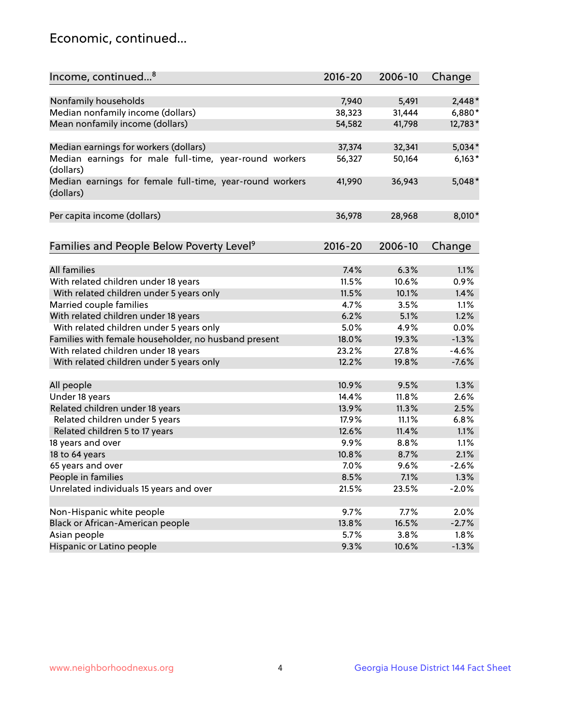## Economic, continued...

| Income, continued <sup>8</sup>                                        | $2016 - 20$ | 2006-10 | Change   |
|-----------------------------------------------------------------------|-------------|---------|----------|
|                                                                       |             |         |          |
| Nonfamily households                                                  | 7,940       | 5,491   | $2,448*$ |
| Median nonfamily income (dollars)                                     | 38,323      | 31,444  | 6,880*   |
| Mean nonfamily income (dollars)                                       | 54,582      | 41,798  | 12,783*  |
| Median earnings for workers (dollars)                                 | 37,374      | 32,341  | $5,034*$ |
| Median earnings for male full-time, year-round workers                | 56,327      | 50,164  | $6,163*$ |
| (dollars)                                                             |             |         |          |
| Median earnings for female full-time, year-round workers<br>(dollars) | 41,990      | 36,943  | $5,048*$ |
| Per capita income (dollars)                                           | 36,978      | 28,968  | 8,010*   |
|                                                                       |             |         |          |
| Families and People Below Poverty Level <sup>9</sup>                  | 2016-20     | 2006-10 | Change   |
| <b>All families</b>                                                   |             |         |          |
|                                                                       | 7.4%        | 6.3%    | 1.1%     |
| With related children under 18 years                                  | 11.5%       | 10.6%   | 0.9%     |
| With related children under 5 years only                              | 11.5%       | 10.1%   | 1.4%     |
| Married couple families                                               | 4.7%        | 3.5%    | 1.1%     |
| With related children under 18 years                                  | 6.2%        | 5.1%    | 1.2%     |
| With related children under 5 years only                              | 5.0%        | 4.9%    | 0.0%     |
| Families with female householder, no husband present                  | 18.0%       | 19.3%   | $-1.3%$  |
| With related children under 18 years                                  | 23.2%       | 27.8%   | $-4.6%$  |
| With related children under 5 years only                              | 12.2%       | 19.8%   | $-7.6%$  |
| All people                                                            | 10.9%       | 9.5%    | 1.3%     |
| Under 18 years                                                        | 14.4%       | 11.8%   | 2.6%     |
| Related children under 18 years                                       | 13.9%       | 11.3%   | 2.5%     |
| Related children under 5 years                                        | 17.9%       | 11.1%   | 6.8%     |
| Related children 5 to 17 years                                        | 12.6%       | 11.4%   | 1.1%     |
| 18 years and over                                                     | 9.9%        | 8.8%    | 1.1%     |
| 18 to 64 years                                                        | 10.8%       | 8.7%    | 2.1%     |
| 65 years and over                                                     | 7.0%        | 9.6%    | $-2.6%$  |
| People in families                                                    | 8.5%        | 7.1%    | 1.3%     |
| Unrelated individuals 15 years and over                               | 21.5%       | 23.5%   | $-2.0%$  |
|                                                                       |             |         |          |
| Non-Hispanic white people                                             | 9.7%        | 7.7%    | 2.0%     |
| Black or African-American people                                      | 13.8%       | 16.5%   | $-2.7%$  |
| Asian people                                                          | 5.7%        | 3.8%    | 1.8%     |
| Hispanic or Latino people                                             | 9.3%        | 10.6%   | $-1.3%$  |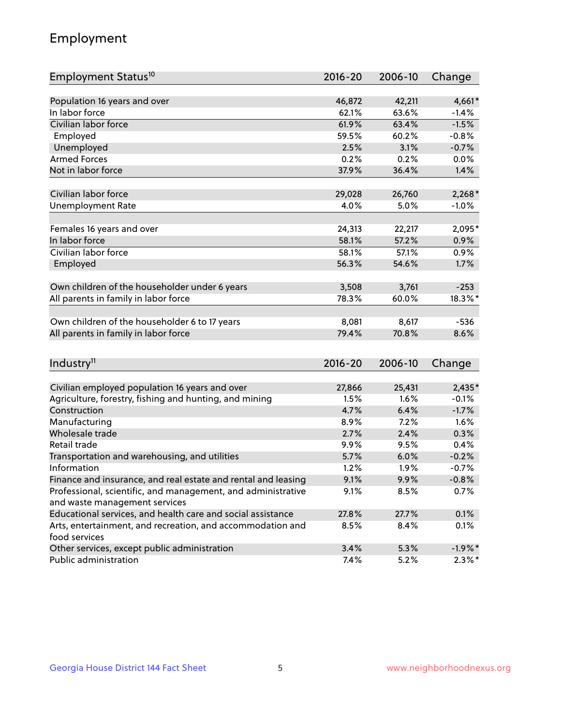## Employment

| Employment Status <sup>10</sup>                               | 2016-20     | 2006-10 | Change    |
|---------------------------------------------------------------|-------------|---------|-----------|
|                                                               |             |         |           |
| Population 16 years and over                                  | 46,872      | 42,211  | 4,661*    |
| In labor force                                                | 62.1%       | 63.6%   | $-1.4%$   |
| Civilian labor force                                          | 61.9%       | 63.4%   | $-1.5%$   |
| Employed                                                      | 59.5%       | 60.2%   | $-0.8%$   |
| Unemployed                                                    | 2.5%        | 3.1%    | $-0.7%$   |
| <b>Armed Forces</b>                                           | 0.2%        | 0.2%    | 0.0%      |
| Not in labor force                                            | 37.9%       | 36.4%   | 1.4%      |
| Civilian labor force                                          | 29,028      | 26,760  | $2,268*$  |
| <b>Unemployment Rate</b>                                      | 4.0%        | 5.0%    | $-1.0%$   |
|                                                               |             |         |           |
| Females 16 years and over                                     | 24,313      | 22,217  | 2,095*    |
| In labor force                                                | 58.1%       | 57.2%   | 0.9%      |
| Civilian labor force                                          | 58.1%       | 57.1%   | 0.9%      |
| Employed                                                      | 56.3%       | 54.6%   | 1.7%      |
|                                                               |             |         |           |
| Own children of the householder under 6 years                 | 3,508       | 3,761   | $-253$    |
| All parents in family in labor force                          | 78.3%       | 60.0%   | 18.3%*    |
| Own children of the householder 6 to 17 years                 | 8,081       | 8,617   | $-536$    |
| All parents in family in labor force                          | 79.4%       | 70.8%   | 8.6%      |
|                                                               |             |         |           |
| Industry <sup>11</sup>                                        | $2016 - 20$ | 2006-10 | Change    |
|                                                               |             |         |           |
| Civilian employed population 16 years and over                | 27,866      | 25,431  | $2,435*$  |
| Agriculture, forestry, fishing and hunting, and mining        | 1.5%        | 1.6%    | $-0.1%$   |
| Construction                                                  | 4.7%        | 6.4%    | $-1.7%$   |
| Manufacturing                                                 | 8.9%        | 7.2%    | 1.6%      |
| Wholesale trade                                               | 2.7%        | 2.4%    | 0.3%      |
| Retail trade                                                  | 9.9%        | 9.5%    | 0.4%      |
| Transportation and warehousing, and utilities                 | 5.7%        | 6.0%    | $-0.2%$   |
| Information                                                   | 1.2%        | 1.9%    | $-0.7%$   |
| Finance and insurance, and real estate and rental and leasing | 9.1%        | 9.9%    | $-0.8%$   |
| Professional, scientific, and management, and administrative  | 9.1%        | 8.5%    | 0.7%      |
| and waste management services                                 |             |         |           |
| Educational services, and health care and social assistance   | 27.8%       | 27.7%   | 0.1%      |
| Arts, entertainment, and recreation, and accommodation and    | 8.5%        | 8.4%    | 0.1%      |
| food services                                                 |             |         |           |
| Other services, except public administration                  | 3.4%        | 5.3%    | $-1.9%$ * |
| Public administration                                         | 7.4%        | 5.2%    | $2.3\%*$  |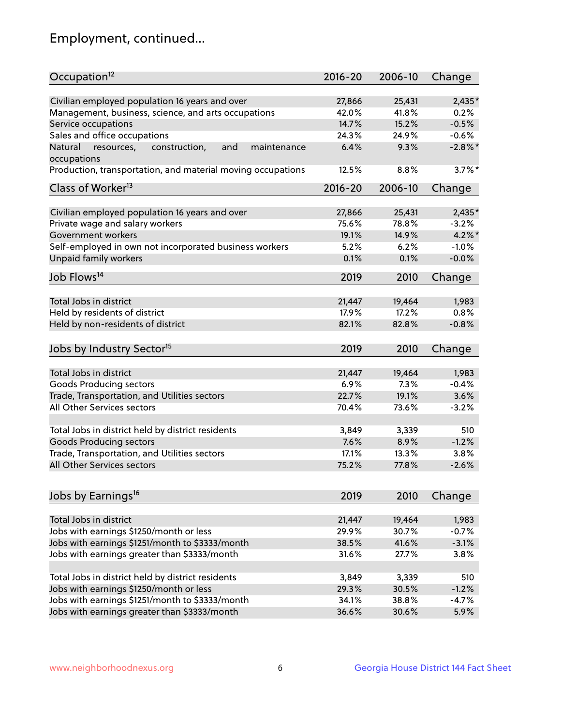## Employment, continued...

| Occupation <sup>12</sup>                                                    | $2016 - 20$ | 2006-10 | Change     |
|-----------------------------------------------------------------------------|-------------|---------|------------|
| Civilian employed population 16 years and over                              | 27,866      | 25,431  | $2,435*$   |
| Management, business, science, and arts occupations                         | 42.0%       | 41.8%   | 0.2%       |
| Service occupations                                                         | 14.7%       | 15.2%   | $-0.5%$    |
| Sales and office occupations                                                | 24.3%       | 24.9%   | $-0.6%$    |
|                                                                             | 6.4%        |         |            |
| Natural<br>and<br>resources,<br>construction,<br>maintenance<br>occupations |             | 9.3%    | $-2.8\%$ * |
| Production, transportation, and material moving occupations                 | 12.5%       | 8.8%    | $3.7\%$ *  |
| Class of Worker <sup>13</sup>                                               | $2016 - 20$ | 2006-10 | Change     |
| Civilian employed population 16 years and over                              | 27,866      | 25,431  | 2,435*     |
| Private wage and salary workers                                             | 75.6%       | 78.8%   | $-3.2%$    |
| Government workers                                                          | 19.1%       | 14.9%   | $4.2\%$ *  |
|                                                                             |             |         |            |
| Self-employed in own not incorporated business workers                      | 5.2%        | 6.2%    | $-1.0%$    |
| Unpaid family workers                                                       | 0.1%        | 0.1%    | $-0.0%$    |
| Job Flows <sup>14</sup>                                                     | 2019        | 2010    | Change     |
|                                                                             |             |         |            |
| Total Jobs in district                                                      | 21,447      | 19,464  | 1,983      |
| Held by residents of district                                               | 17.9%       | 17.2%   | 0.8%       |
| Held by non-residents of district                                           | 82.1%       | 82.8%   | $-0.8%$    |
| Jobs by Industry Sector <sup>15</sup>                                       | 2019        | 2010    | Change     |
|                                                                             |             |         |            |
| Total Jobs in district                                                      | 21,447      | 19,464  | 1,983      |
| Goods Producing sectors                                                     | 6.9%        | 7.3%    | $-0.4%$    |
| Trade, Transportation, and Utilities sectors                                | 22.7%       | 19.1%   | 3.6%       |
| All Other Services sectors                                                  | 70.4%       | 73.6%   | $-3.2%$    |
| Total Jobs in district held by district residents                           | 3,849       | 3,339   | 510        |
| <b>Goods Producing sectors</b>                                              | 7.6%        | 8.9%    | $-1.2%$    |
| Trade, Transportation, and Utilities sectors                                | 17.1%       | 13.3%   | 3.8%       |
| All Other Services sectors                                                  | 75.2%       | 77.8%   | $-2.6%$    |
|                                                                             |             |         |            |
| Jobs by Earnings <sup>16</sup>                                              | 2019        | 2010    | Change     |
| Total Jobs in district                                                      | 21,447      |         | 1,983      |
|                                                                             |             | 19,464  |            |
| Jobs with earnings \$1250/month or less                                     | 29.9%       | 30.7%   | $-0.7%$    |
| Jobs with earnings \$1251/month to \$3333/month                             | 38.5%       | 41.6%   | $-3.1%$    |
| Jobs with earnings greater than \$3333/month                                | 31.6%       | 27.7%   | 3.8%       |
| Total Jobs in district held by district residents                           | 3,849       | 3,339   | 510        |
| Jobs with earnings \$1250/month or less                                     | 29.3%       | 30.5%   | $-1.2%$    |
| Jobs with earnings \$1251/month to \$3333/month                             | 34.1%       | 38.8%   | $-4.7%$    |
| Jobs with earnings greater than \$3333/month                                | 36.6%       | 30.6%   | 5.9%       |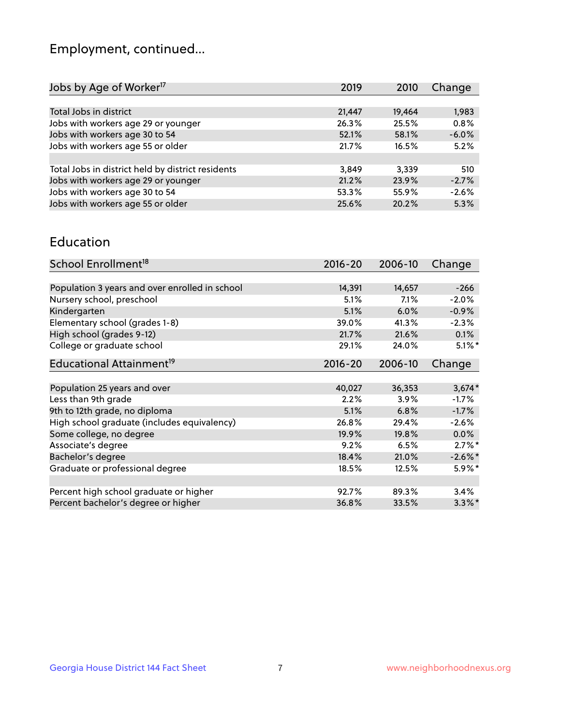## Employment, continued...

| Change  |
|---------|
|         |
| 1,983   |
| 0.8%    |
| $-6.0%$ |
| 5.2%    |
|         |
| 510     |
| $-2.7%$ |
| $-2.6%$ |
| 5.3%    |
|         |

#### Education

| School Enrollment <sup>18</sup>                | $2016 - 20$ | 2006-10 | Change     |
|------------------------------------------------|-------------|---------|------------|
|                                                |             |         |            |
| Population 3 years and over enrolled in school | 14,391      | 14,657  | $-266$     |
| Nursery school, preschool                      | 5.1%        | 7.1%    | $-2.0%$    |
| Kindergarten                                   | 5.1%        | 6.0%    | $-0.9%$    |
| Elementary school (grades 1-8)                 | 39.0%       | 41.3%   | $-2.3%$    |
| High school (grades 9-12)                      | 21.7%       | 21.6%   | 0.1%       |
| College or graduate school                     | 29.1%       | 24.0%   | $5.1\%$ *  |
| Educational Attainment <sup>19</sup>           | $2016 - 20$ | 2006-10 | Change     |
|                                                |             |         |            |
| Population 25 years and over                   | 40,027      | 36,353  | $3,674*$   |
| Less than 9th grade                            | 2.2%        | 3.9%    | $-1.7%$    |
| 9th to 12th grade, no diploma                  | 5.1%        | 6.8%    | $-1.7%$    |
| High school graduate (includes equivalency)    | 26.8%       | 29.4%   | $-2.6%$    |
| Some college, no degree                        | 19.9%       | 19.8%   | 0.0%       |
| Associate's degree                             | 9.2%        | 6.5%    | $2.7\%$ *  |
| Bachelor's degree                              | 18.4%       | 21.0%   | $-2.6\%$ * |
| Graduate or professional degree                | 18.5%       | 12.5%   | 5.9%*      |
|                                                |             |         |            |
| Percent high school graduate or higher         | 92.7%       | 89.3%   | 3.4%       |
| Percent bachelor's degree or higher            | 36.8%       | 33.5%   | $3.3\%$ *  |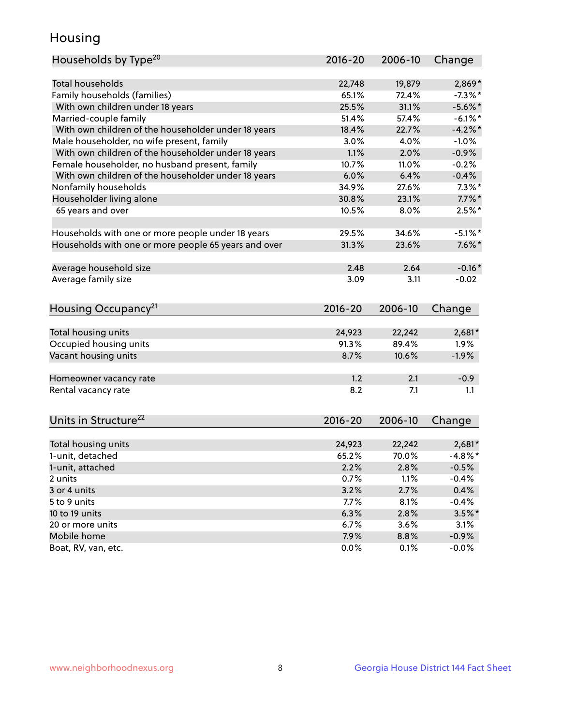## Housing

| Households by Type <sup>20</sup>                     | 2016-20     | 2006-10 | Change     |
|------------------------------------------------------|-------------|---------|------------|
|                                                      |             |         |            |
| <b>Total households</b>                              | 22,748      | 19,879  | $2,869*$   |
| Family households (families)                         | 65.1%       | 72.4%   | $-7.3\%$ * |
| With own children under 18 years                     | 25.5%       | 31.1%   | $-5.6\%$ * |
| Married-couple family                                | 51.4%       | 57.4%   | $-6.1\%$ * |
| With own children of the householder under 18 years  | 18.4%       | 22.7%   | $-4.2%$    |
| Male householder, no wife present, family            | 3.0%        | 4.0%    | $-1.0%$    |
| With own children of the householder under 18 years  | 1.1%        | 2.0%    | $-0.9%$    |
| Female householder, no husband present, family       | 10.7%       | 11.0%   | $-0.2%$    |
| With own children of the householder under 18 years  | 6.0%        | 6.4%    | $-0.4%$    |
| Nonfamily households                                 | 34.9%       | 27.6%   | $7.3\%$ *  |
| Householder living alone                             | 30.8%       | 23.1%   | $7.7\%$ *  |
| 65 years and over                                    | 10.5%       | 8.0%    | $2.5%$ *   |
|                                                      |             |         |            |
| Households with one or more people under 18 years    | 29.5%       | 34.6%   | $-5.1\%$ * |
| Households with one or more people 65 years and over | 31.3%       | 23.6%   | $7.6\%$ *  |
|                                                      |             |         |            |
| Average household size                               | 2.48        | 2.64    | $-0.16*$   |
| Average family size                                  | 3.09        | 3.11    | $-0.02$    |
|                                                      |             |         |            |
| Housing Occupancy <sup>21</sup>                      | $2016 - 20$ | 2006-10 | Change     |
|                                                      |             |         |            |
| Total housing units                                  | 24,923      | 22,242  | $2,681*$   |
| Occupied housing units                               | 91.3%       | 89.4%   | 1.9%       |
| Vacant housing units                                 | 8.7%        | 10.6%   | $-1.9%$    |
| Homeowner vacancy rate                               | 1.2         | 2.1     | $-0.9$     |
| Rental vacancy rate                                  | 8.2         | 7.1     | 1.1        |
|                                                      |             |         |            |
| Units in Structure <sup>22</sup>                     | 2016-20     | 2006-10 | Change     |
|                                                      |             |         |            |
| Total housing units                                  | 24,923      | 22,242  | $2,681*$   |
| 1-unit, detached                                     | 65.2%       | 70.0%   | $-4.8\%$ * |
| 1-unit, attached                                     | 2.2%        | 2.8%    | $-0.5%$    |
| 2 units                                              | 0.7%        | 1.1%    | $-0.4%$    |
| 3 or 4 units                                         | 3.2%        | 2.7%    | 0.4%       |
| 5 to 9 units                                         | 7.7%        | 8.1%    | $-0.4%$    |
| 10 to 19 units                                       | 6.3%        | 2.8%    | $3.5\%$ *  |
| 20 or more units                                     | 6.7%        | 3.6%    | 3.1%       |
| Mobile home                                          | 7.9%        | 8.8%    | $-0.9%$    |
| Boat, RV, van, etc.                                  | 0.0%        | 0.1%    | $-0.0%$    |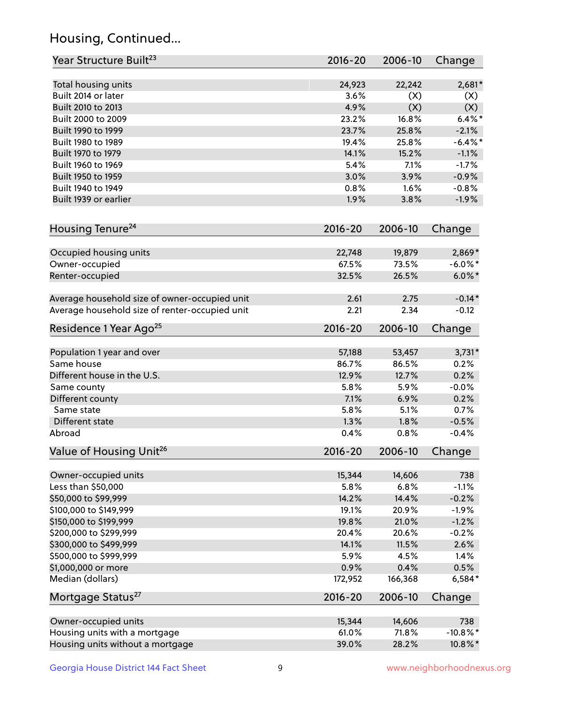## Housing, Continued...

| Year Structure Built <sup>23</sup>             | 2016-20     | 2006-10 | Change      |
|------------------------------------------------|-------------|---------|-------------|
| Total housing units                            | 24,923      | 22,242  | $2,681*$    |
| Built 2014 or later                            | 3.6%        | (X)     | (X)         |
| Built 2010 to 2013                             | 4.9%        | (X)     | (X)         |
| Built 2000 to 2009                             | 23.2%       | 16.8%   | $6.4\%$ *   |
| Built 1990 to 1999                             | 23.7%       | 25.8%   | $-2.1%$     |
| Built 1980 to 1989                             | 19.4%       | 25.8%   | $-6.4\%$ *  |
| Built 1970 to 1979                             | 14.1%       | 15.2%   | $-1.1%$     |
| Built 1960 to 1969                             | 5.4%        | 7.1%    | $-1.7%$     |
| Built 1950 to 1959                             | 3.0%        | 3.9%    | $-0.9%$     |
| Built 1940 to 1949                             | 0.8%        | 1.6%    | $-0.8%$     |
| Built 1939 or earlier                          | 1.9%        | 3.8%    | $-1.9%$     |
| Housing Tenure <sup>24</sup>                   | 2016-20     | 2006-10 | Change      |
| Occupied housing units                         | 22,748      | 19,879  | 2,869*      |
| Owner-occupied                                 | 67.5%       | 73.5%   | $-6.0\%$ *  |
| Renter-occupied                                | 32.5%       | 26.5%   | $6.0\%$ *   |
| Average household size of owner-occupied unit  | 2.61        | 2.75    | $-0.14*$    |
| Average household size of renter-occupied unit | 2.21        | 2.34    | $-0.12$     |
| Residence 1 Year Ago <sup>25</sup>             | 2016-20     | 2006-10 | Change      |
| Population 1 year and over                     | 57,188      | 53,457  | $3,731*$    |
| Same house                                     | 86.7%       | 86.5%   | 0.2%        |
| Different house in the U.S.                    | 12.9%       | 12.7%   | 0.2%        |
| Same county                                    | 5.8%        | 5.9%    | $-0.0%$     |
| Different county                               | 7.1%        | 6.9%    | 0.2%        |
| Same state                                     | 5.8%        | 5.1%    | 0.7%        |
| Different state                                | 1.3%        | 1.8%    | $-0.5%$     |
| Abroad                                         | 0.4%        | 0.8%    | $-0.4%$     |
| Value of Housing Unit <sup>26</sup>            | $2016 - 20$ | 2006-10 | Change      |
| Owner-occupied units                           | 15,344      | 14,606  | 738         |
| Less than \$50,000                             | 5.8%        | 6.8%    | $-1.1%$     |
| \$50,000 to \$99,999                           | 14.2%       | 14.4%   | $-0.2%$     |
| \$100,000 to \$149,999                         | 19.1%       | 20.9%   | $-1.9%$     |
| \$150,000 to \$199,999                         | 19.8%       | 21.0%   | $-1.2%$     |
| \$200,000 to \$299,999                         | 20.4%       | 20.6%   | $-0.2%$     |
| \$300,000 to \$499,999                         | 14.1%       | 11.5%   | 2.6%        |
| \$500,000 to \$999,999                         | 5.9%        | 4.5%    | 1.4%        |
| \$1,000,000 or more                            | 0.9%        | 0.4%    | 0.5%        |
| Median (dollars)                               | 172,952     | 166,368 | 6,584*      |
| Mortgage Status <sup>27</sup>                  | $2016 - 20$ | 2006-10 | Change      |
| Owner-occupied units                           | 15,344      | 14,606  | 738         |
| Housing units with a mortgage                  | 61.0%       | 71.8%   | $-10.8\%$ * |
| Housing units without a mortgage               | 39.0%       | 28.2%   | 10.8%*      |
|                                                |             |         |             |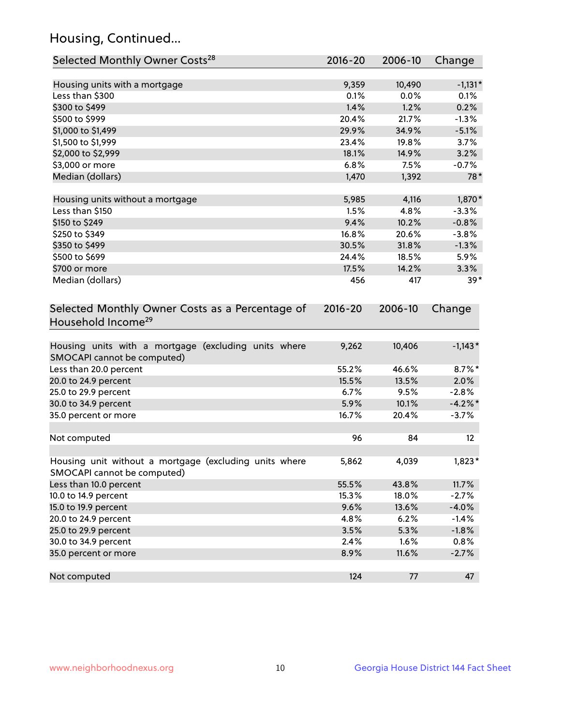## Housing, Continued...

| Selected Monthly Owner Costs <sup>28</sup>                                            | 2016-20     | 2006-10 | Change     |
|---------------------------------------------------------------------------------------|-------------|---------|------------|
| Housing units with a mortgage                                                         | 9,359       | 10,490  | $-1,131*$  |
| Less than \$300                                                                       | 0.1%        | 0.0%    | 0.1%       |
| \$300 to \$499                                                                        | 1.4%        | 1.2%    | 0.2%       |
| \$500 to \$999                                                                        | 20.4%       | 21.7%   | $-1.3%$    |
| \$1,000 to \$1,499                                                                    | 29.9%       | 34.9%   | $-5.1%$    |
| \$1,500 to \$1,999                                                                    | 23.4%       | 19.8%   | 3.7%       |
| \$2,000 to \$2,999                                                                    | 18.1%       | 14.9%   | 3.2%       |
| \$3,000 or more                                                                       | 6.8%        | 7.5%    | $-0.7%$    |
| Median (dollars)                                                                      | 1,470       | 1,392   | $78*$      |
| Housing units without a mortgage                                                      | 5,985       | 4,116   | 1,870*     |
| Less than \$150                                                                       | 1.5%        | 4.8%    | $-3.3%$    |
| \$150 to \$249                                                                        | 9.4%        | 10.2%   | $-0.8%$    |
| \$250 to \$349                                                                        | 16.8%       | 20.6%   | $-3.8%$    |
| \$350 to \$499                                                                        | 30.5%       | 31.8%   | $-1.3%$    |
| \$500 to \$699                                                                        | 24.4%       | 18.5%   | 5.9%       |
| \$700 or more                                                                         | 17.5%       | 14.2%   | 3.3%       |
| Median (dollars)                                                                      | 456         | 417     | $39*$      |
| Selected Monthly Owner Costs as a Percentage of<br>Household Income <sup>29</sup>     | $2016 - 20$ | 2006-10 | Change     |
| Housing units with a mortgage (excluding units where<br>SMOCAPI cannot be computed)   | 9,262       | 10,406  | $-1,143*$  |
| Less than 20.0 percent                                                                | 55.2%       | 46.6%   | $8.7\%$ *  |
| 20.0 to 24.9 percent                                                                  | 15.5%       | 13.5%   | 2.0%       |
| 25.0 to 29.9 percent                                                                  | 6.7%        | 9.5%    | $-2.8%$    |
| 30.0 to 34.9 percent                                                                  | 5.9%        | 10.1%   | $-4.2\%$ * |
| 35.0 percent or more                                                                  | 16.7%       | 20.4%   | $-3.7%$    |
| Not computed                                                                          | 96          | 84      | 12         |
| Housing unit without a mortgage (excluding units where<br>SMOCAPI cannot be computed) | 5,862       | 4,039   | $1,823*$   |
| Less than 10.0 percent                                                                | 55.5%       | 43.8%   | 11.7%      |
| 10.0 to 14.9 percent                                                                  | 15.3%       | 18.0%   | $-2.7%$    |
| 15.0 to 19.9 percent                                                                  | 9.6%        | 13.6%   | $-4.0%$    |
| 20.0 to 24.9 percent                                                                  | 4.8%        | 6.2%    | $-1.4%$    |
| 25.0 to 29.9 percent                                                                  | 3.5%        | 5.3%    | $-1.8%$    |
| 30.0 to 34.9 percent                                                                  | 2.4%        | 1.6%    | 0.8%       |
| 35.0 percent or more                                                                  | 8.9%        | 11.6%   | $-2.7%$    |
| Not computed                                                                          | 124         | 77      | 47         |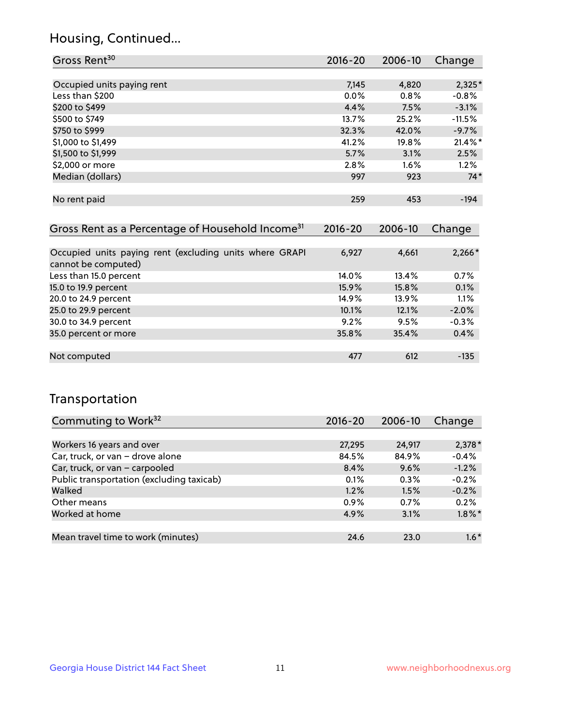## Housing, Continued...

| Gross Rent <sup>30</sup>                                                       | $2016 - 20$ | 2006-10 | Change   |
|--------------------------------------------------------------------------------|-------------|---------|----------|
|                                                                                |             |         |          |
| Occupied units paying rent                                                     | 7,145       | 4,820   | $2,325*$ |
| Less than \$200                                                                | 0.0%        | 0.8%    | $-0.8%$  |
| \$200 to \$499                                                                 | 4.4%        | 7.5%    | $-3.1%$  |
| \$500 to \$749                                                                 | 13.7%       | 25.2%   | $-11.5%$ |
| \$750 to \$999                                                                 | 32.3%       | 42.0%   | $-9.7%$  |
| \$1,000 to \$1,499                                                             | 41.2%       | 19.8%   | 21.4%*   |
| \$1,500 to \$1,999                                                             | 5.7%        | 3.1%    | 2.5%     |
| \$2,000 or more                                                                | 2.8%        | 1.6%    | 1.2%     |
| Median (dollars)                                                               | 997         | 923     | $74*$    |
|                                                                                |             |         |          |
| No rent paid                                                                   | 259         | 453     | $-194$   |
|                                                                                |             |         |          |
| Gross Rent as a Percentage of Household Income <sup>31</sup>                   | $2016 - 20$ | 2006-10 | Change   |
|                                                                                |             |         |          |
| Occupied units paying rent (excluding units where GRAPI<br>cannot be computed) | 6,927       | 4,661   | $2,266*$ |
| Less than 15.0 percent                                                         | 14.0%       | 13.4%   | 0.7%     |
| 15.0 to 19.9 percent                                                           | 15.9%       | 15.8%   | 0.1%     |
| 20.0 to 24.9 percent                                                           | 14.9%       | 13.9%   | 1.1%     |
| 25.0 to 29.9 percent                                                           | 10.1%       | 12.1%   | $-2.0%$  |
| 30.0 to 34.9 percent                                                           | 9.2%        | 9.5%    | $-0.3%$  |
|                                                                                |             |         |          |

| Less than 15.0 percent | 14.0% | 13.4% | 0.7%    |
|------------------------|-------|-------|---------|
| 15.0 to 19.9 percent   | 15.9% | 15.8% | 0.1%    |
| 20.0 to 24.9 percent   | 14.9% | 13.9% | 1.1%    |
| 25.0 to 29.9 percent   | 10.1% | 12.1% | $-2.0%$ |
| 30.0 to 34.9 percent   | 9.2%  | 9.5%  | $-0.3%$ |
| 35.0 percent or more   | 35.8% | 35.4% | 0.4%    |
|                        |       |       |         |
| Not computed           | 477   | 612   | $-135$  |
|                        |       |       |         |

## Transportation

| Commuting to Work <sup>32</sup>           | 2016-20 | 2006-10 | Change    |
|-------------------------------------------|---------|---------|-----------|
|                                           |         |         |           |
| Workers 16 years and over                 | 27,295  | 24,917  | $2,378*$  |
| Car, truck, or van - drove alone          | 84.5%   | 84.9%   | $-0.4%$   |
| Car, truck, or van - carpooled            | 8.4%    | 9.6%    | $-1.2%$   |
| Public transportation (excluding taxicab) | 0.1%    | 0.3%    | $-0.2%$   |
| Walked                                    | 1.2%    | 1.5%    | $-0.2%$   |
| Other means                               | $0.9\%$ | $0.7\%$ | 0.2%      |
| Worked at home                            | 4.9%    | 3.1%    | $1.8\%$ * |
|                                           |         |         |           |
| Mean travel time to work (minutes)        | 24.6    | 23.0    | $1.6*$    |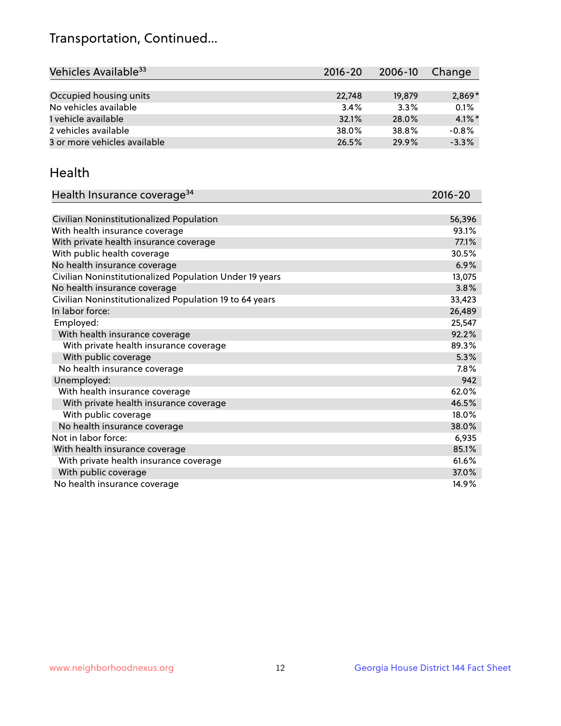## Transportation, Continued...

| Vehicles Available <sup>33</sup> | 2016-20 | 2006-10 | Change    |
|----------------------------------|---------|---------|-----------|
|                                  |         |         |           |
| Occupied housing units           | 22,748  | 19,879  | $2,869*$  |
| No vehicles available            | 3.4%    | 3.3%    | 0.1%      |
| 1 vehicle available              | 32.1%   | 28.0%   | $4.1\%$ * |
| 2 vehicles available             | 38.0%   | 38.8%   | $-0.8%$   |
| 3 or more vehicles available     | 26.5%   | 29.9%   | $-3.3%$   |

#### Health

| Health Insurance coverage <sup>34</sup>                 | 2016-20 |
|---------------------------------------------------------|---------|
|                                                         |         |
| Civilian Noninstitutionalized Population                | 56,396  |
| With health insurance coverage                          | 93.1%   |
| With private health insurance coverage                  | 77.1%   |
| With public health coverage                             | 30.5%   |
| No health insurance coverage                            | 6.9%    |
| Civilian Noninstitutionalized Population Under 19 years | 13,075  |
| No health insurance coverage                            | 3.8%    |
| Civilian Noninstitutionalized Population 19 to 64 years | 33,423  |
| In labor force:                                         | 26,489  |
| Employed:                                               | 25,547  |
| With health insurance coverage                          | 92.2%   |
| With private health insurance coverage                  | 89.3%   |
| With public coverage                                    | 5.3%    |
| No health insurance coverage                            | 7.8%    |
| Unemployed:                                             | 942     |
| With health insurance coverage                          | 62.0%   |
| With private health insurance coverage                  | 46.5%   |
| With public coverage                                    | 18.0%   |
| No health insurance coverage                            | 38.0%   |
| Not in labor force:                                     | 6,935   |
| With health insurance coverage                          | 85.1%   |
| With private health insurance coverage                  | 61.6%   |
| With public coverage                                    | 37.0%   |
| No health insurance coverage                            | 14.9%   |